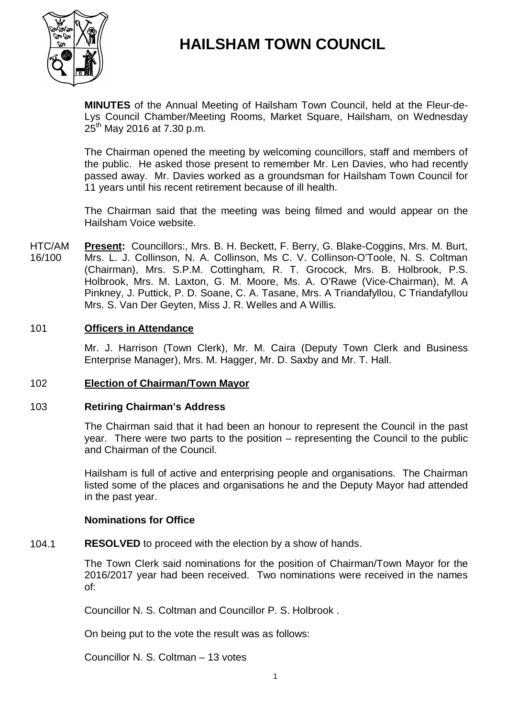

# **HAILSHAM TOWN COUNCIL**

**MINUTES** of the Annual Meeting of Hailsham Town Council, held at the Fleur-de-Lys Council Chamber/Meeting Rooms, Market Square, Hailsham, on Wednesday  $25^{th}$  May 2016 at 7.30 p.m.

The Chairman opened the meeting by welcoming councillors, staff and members of the public. He asked those present to remember Mr. Len Davies, who had recently passed away. Mr. Davies worked as a groundsman for Hailsham Town Council for 11 years until his recent retirement because of ill health.

The Chairman said that the meeting was being filmed and would appear on the Hailsham Voice website.

HTC/AM 16/100 **Present:** Councillors:, Mrs. B. H. Beckett, F. Berry, G. Blake-Coggins, Mrs. M. Burt, Mrs. L. J. Collinson, N. A. Collinson, Ms C. V. Collinson-O'Toole, N. S. Coltman (Chairman), Mrs. S.P.M. Cottingham, R. T. Grocock, Mrs. B. Holbrook, P.S. Holbrook, Mrs. M. Laxton, G. M. Moore, Ms. A. O'Rawe (Vice-Chairman), M. A Pinkney, J. Puttick, P. D. Soane, C. A. Tasane, Mrs. A Triandafyllou, C Triandafyllou Mrs. S. Van Der Geyten, Miss J. R. Welles and A Willis.

# 101 **Officers in Attendance**

Mr. J. Harrison (Town Clerk), Mr. M. Caira (Deputy Town Clerk and Business Enterprise Manager), Mrs. M. Hagger, Mr. D. Saxby and Mr. T. Hall.

#### 102 **Election of Chairman/Town Mayor**

#### 103 **Retiring Chairman's Address**

The Chairman said that it had been an honour to represent the Council in the past year. There were two parts to the position – representing the Council to the public and Chairman of the Council.

Hailsham is full of active and enterprising people and organisations. The Chairman listed some of the places and organisations he and the Deputy Mayor had attended in the past year.

# **Nominations for Office**

#### 104.1 **RESOLVED** to proceed with the election by a show of hands.

The Town Clerk said nominations for the position of Chairman/Town Mayor for the 2016/2017 year had been received. Two nominations were received in the names of:

Councillor N. S. Coltman and Councillor P. S. Holbrook .

On being put to the vote the result was as follows:

Councillor N. S. Coltman – 13 votes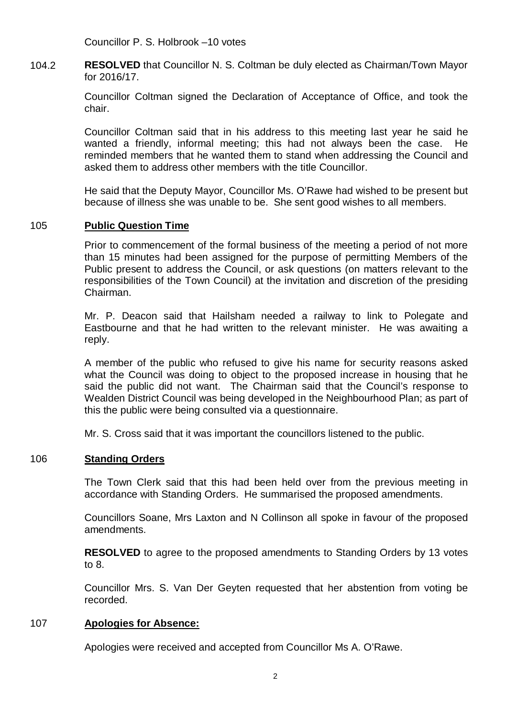Councillor P. S. Holbrook –10 votes

104.2 **RESOLVED** that Councillor N. S. Coltman be duly elected as Chairman/Town Mayor for 2016/17.

> Councillor Coltman signed the Declaration of Acceptance of Office, and took the chair.

> Councillor Coltman said that in his address to this meeting last year he said he wanted a friendly, informal meeting; this had not always been the case. He reminded members that he wanted them to stand when addressing the Council and asked them to address other members with the title Councillor.

> He said that the Deputy Mayor, Councillor Ms. O'Rawe had wished to be present but because of illness she was unable to be. She sent good wishes to all members.

### 105 **Public Question Time**

Prior to commencement of the formal business of the meeting a period of not more than 15 minutes had been assigned for the purpose of permitting Members of the Public present to address the Council, or ask questions (on matters relevant to the responsibilities of the Town Council) at the invitation and discretion of the presiding Chairman.

Mr. P. Deacon said that Hailsham needed a railway to link to Polegate and Eastbourne and that he had written to the relevant minister. He was awaiting a reply.

A member of the public who refused to give his name for security reasons asked what the Council was doing to object to the proposed increase in housing that he said the public did not want. The Chairman said that the Council's response to Wealden District Council was being developed in the Neighbourhood Plan; as part of this the public were being consulted via a questionnaire.

Mr. S. Cross said that it was important the councillors listened to the public.

# 106 **Standing Orders**

The Town Clerk said that this had been held over from the previous meeting in accordance with Standing Orders. He summarised the proposed amendments.

Councillors Soane, Mrs Laxton and N Collinson all spoke in favour of the proposed amendments.

**RESOLVED** to agree to the proposed amendments to Standing Orders by 13 votes to 8.

Councillor Mrs. S. Van Der Geyten requested that her abstention from voting be recorded.

### 107 **Apologies for Absence:**

Apologies were received and accepted from Councillor Ms A. O'Rawe.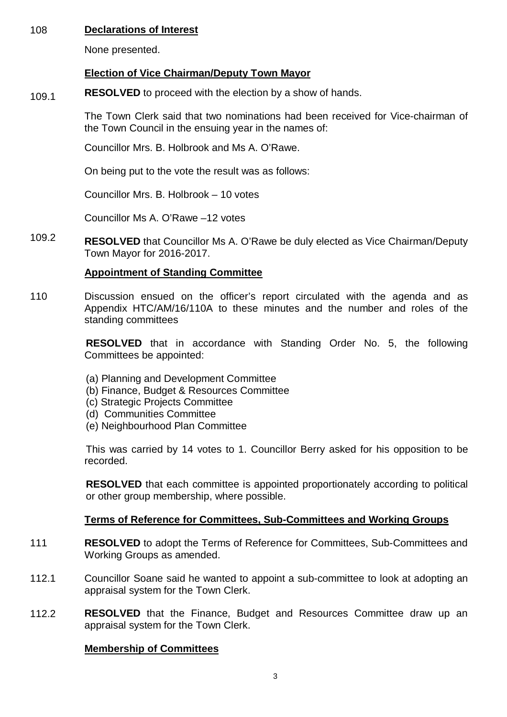# 108 **Declarations of Interest**

None presented.

# **Election of Vice Chairman/Deputy Town Mayor**

109.1 **RESOLVED** to proceed with the election by a show of hands.

> The Town Clerk said that two nominations had been received for Vice-chairman of the Town Council in the ensuing year in the names of:

Councillor Mrs. B. Holbrook and Ms A. O'Rawe.

On being put to the vote the result was as follows:

Councillor Mrs. B. Holbrook – 10 votes

Councillor Ms A. O'Rawe –12 votes

109.2 **RESOLVED** that Councillor Ms A. O'Rawe be duly elected as Vice Chairman/Deputy Town Mayor for 2016-2017.

# **Appointment of Standing Committee**

110 Discussion ensued on the officer's report circulated with the agenda and as Appendix HTC/AM/16/110A to these minutes and the number and roles of the standing committees

> **RESOLVED** that in accordance with Standing Order No. 5, the following Committees be appointed:

- (a) Planning and Development Committee
- (b) Finance, Budget & Resources Committee
- (c) Strategic Projects Committee
- (d) Communities Committee
- (e) Neighbourhood Plan Committee

This was carried by 14 votes to 1. Councillor Berry asked for his opposition to be recorded.

**RESOLVED** that each committee is appointed proportionately according to political or other group membership, where possible.

# **Terms of Reference for Committees, Sub-Committees and Working Groups**

- 111 **RESOLVED** to adopt the Terms of Reference for Committees, Sub-Committees and Working Groups as amended.
- 112.1 Councillor Soane said he wanted to appoint a sub-committee to look at adopting an appraisal system for the Town Clerk.
- 112.2 **RESOLVED** that the Finance, Budget and Resources Committee draw up an appraisal system for the Town Clerk.

# **Membership of Committees**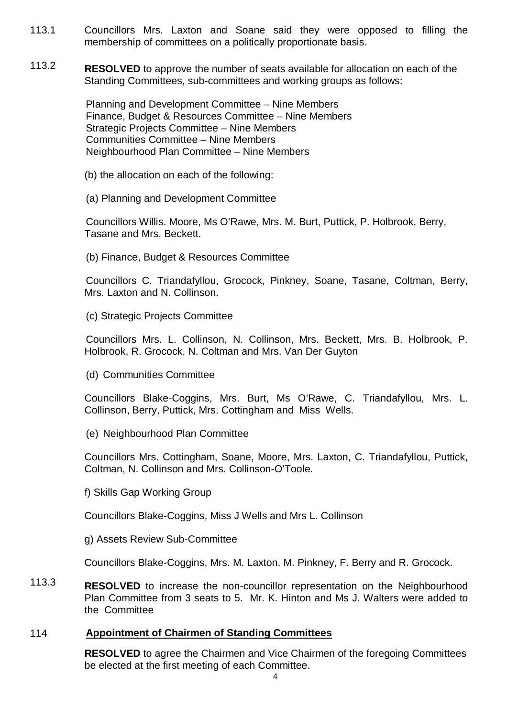- 113.1 Councillors Mrs. Laxton and Soane said they were opposed to filling the membership of committees on a politically proportionate basis.
- 113.2 **RESOLVED** to approve the number of seats available for allocation on each of the Standing Committees, sub-committees and working groups as follows:

Planning and Development Committee – Nine Members Finance, Budget & Resources Committee – Nine Members Strategic Projects Committee – Nine Members Communities Committee – Nine Members Neighbourhood Plan Committee – Nine Members

- (b) the allocation on each of the following:
- (a) Planning and Development Committee

Councillors Willis. Moore, Ms O'Rawe, Mrs. M. Burt, Puttick, P. Holbrook, Berry, Tasane and Mrs, Beckett.

(b) Finance, Budget & Resources Committee

Councillors C. Triandafyllou, Grocock, Pinkney, Soane, Tasane, Coltman, Berry, Mrs. Laxton and N. Collinson.

(c) Strategic Projects Committee

Councillors Mrs. L. Collinson, N. Collinson, Mrs. Beckett, Mrs. B. Holbrook, P. Holbrook, R. Grocock, N. Coltman and Mrs. Van Der Guyton

(d) Communities Committee

Councillors Blake-Coggins, Mrs. Burt, Ms O'Rawe, C. Triandafyllou, Mrs. L. Collinson, Berry, Puttick, Mrs. Cottingham and Miss Wells.

(e) Neighbourhood Plan Committee

Councillors Mrs. Cottingham, Soane, Moore, Mrs. Laxton, C. Triandafyllou, Puttick, Coltman, N. Collinson and Mrs. Collinson-O'Toole.

f) Skills Gap Working Group

Councillors Blake-Coggins, Miss J Wells and Mrs L. Collinson

g) Assets Review Sub-Committee

Councillors Blake-Coggins, Mrs. M. Laxton. M. Pinkney, F. Berry and R. Grocock.

113.3 **RESOLVED** to increase the non-councillor representation on the Neighbourhood Plan Committee from 3 seats to 5. Mr. K. Hinton and Ms J. Walters were added to the Committee

# 114 **Appointment of Chairmen of Standing Committees**

**RESOLVED** to agree the Chairmen and Vice Chairmen of the foregoing Committees be elected at the first meeting of each Committee.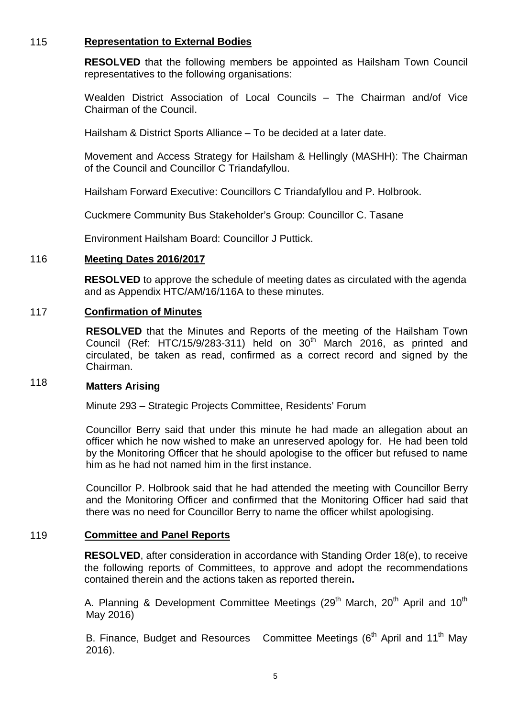# 115 **Representation to External Bodies**

**RESOLVED** that the following members be appointed as Hailsham Town Council representatives to the following organisations:

Wealden District Association of Local Councils – The Chairman and/of Vice Chairman of the Council.

Hailsham & District Sports Alliance – To be decided at a later date.

Movement and Access Strategy for Hailsham & Hellingly (MASHH): The Chairman of the Council and Councillor C Triandafyllou.

Hailsham Forward Executive: Councillors C Triandafyllou and P. Holbrook.

Cuckmere Community Bus Stakeholder's Group: Councillor C. Tasane

Environment Hailsham Board: Councillor J Puttick.

### 116 **Meeting Dates 2016/2017**

**RESOLVED** to approve the schedule of meeting dates as circulated with the agenda and as Appendix HTC/AM/16/116A to these minutes.

#### 117 **Confirmation of Minutes**

**RESOLVED** that the Minutes and Reports of the meeting of the Hailsham Town Council (Ref: HTC/15/9/283-311) held on  $30<sup>th</sup>$  March 2016, as printed and circulated, be taken as read, confirmed as a correct record and signed by the Chairman.

#### 118 **Matters Arising**

Minute 293 – Strategic Projects Committee, Residents' Forum

Councillor Berry said that under this minute he had made an allegation about an officer which he now wished to make an unreserved apology for. He had been told by the Monitoring Officer that he should apologise to the officer but refused to name him as he had not named him in the first instance.

Councillor P. Holbrook said that he had attended the meeting with Councillor Berry and the Monitoring Officer and confirmed that the Monitoring Officer had said that there was no need for Councillor Berry to name the officer whilst apologising.

### 119 **Committee and Panel Reports**

**RESOLVED**, after consideration in accordance with Standing Order 18(e), to receive the following reports of Committees, to approve and adopt the recommendations contained therein and the actions taken as reported therein**.**

A. Planning & Development Committee Meetings (29<sup>th</sup> March, 20<sup>th</sup> April and 10<sup>th</sup> May 2016)

B. Finance, Budget and Resources Committee Meetings ( $6<sup>th</sup>$  April and 11<sup>th</sup> May 2016).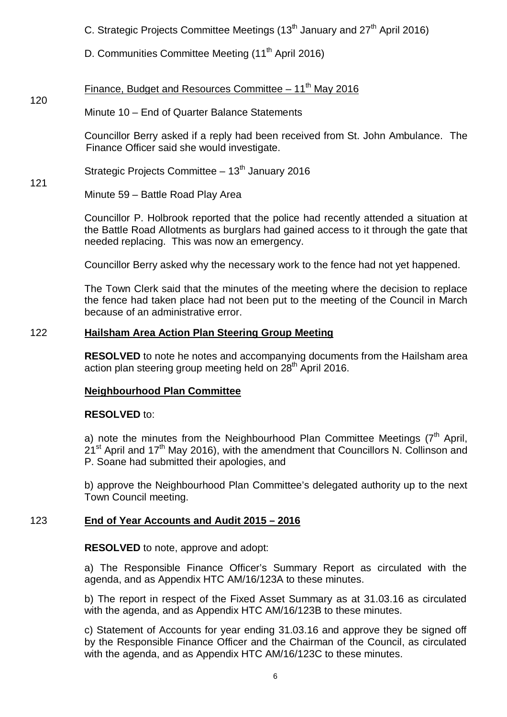C. Strategic Projects Committee Meetings  $(13<sup>th</sup>$  January and  $27<sup>th</sup>$  April 2016)

D. Communities Committee Meeting (11<sup>th</sup> April 2016)

### 120 Finance, Budget and Resources Committee – 11<sup>th</sup> May 2016

# Minute 10 – End of Quarter Balance Statements

Councillor Berry asked if a reply had been received from St. John Ambulance. The Finance Officer said she would investigate.

Strategic Projects Committee  $-13<sup>th</sup>$  January 2016

Minute 59 – Battle Road Play Area

121

Councillor P. Holbrook reported that the police had recently attended a situation at the Battle Road Allotments as burglars had gained access to it through the gate that needed replacing. This was now an emergency.

Councillor Berry asked why the necessary work to the fence had not yet happened.

The Town Clerk said that the minutes of the meeting where the decision to replace the fence had taken place had not been put to the meeting of the Council in March because of an administrative error.

# 122 **Hailsham Area Action Plan Steering Group Meeting**

**RESOLVED** to note he notes and accompanying documents from the Hailsham area action plan steering group meeting held on 28<sup>th</sup> April 2016.

# **Neighbourhood Plan Committee**

# **RESOLVED** to:

a) note the minutes from the Neighbourhood Plan Committee Meetings ( $7<sup>th</sup>$  April,  $21<sup>st</sup>$  April and 17<sup>th</sup> May 2016), with the amendment that Councillors N. Collinson and P. Soane had submitted their apologies, and

b) approve the Neighbourhood Plan Committee's delegated authority up to the next Town Council meeting.

# 123 **End of Year Accounts and Audit 2015 – 2016**

# **RESOLVED** to note, approve and adopt:

a) The Responsible Finance Officer's Summary Report as circulated with the agenda, and as Appendix HTC AM/16/123A to these minutes.

b) The report in respect of the Fixed Asset Summary as at 31.03.16 as circulated with the agenda, and as Appendix HTC AM/16/123B to these minutes.

c) Statement of Accounts for year ending 31.03.16 and approve they be signed off by the Responsible Finance Officer and the Chairman of the Council, as circulated with the agenda, and as Appendix HTC AM/16/123C to these minutes.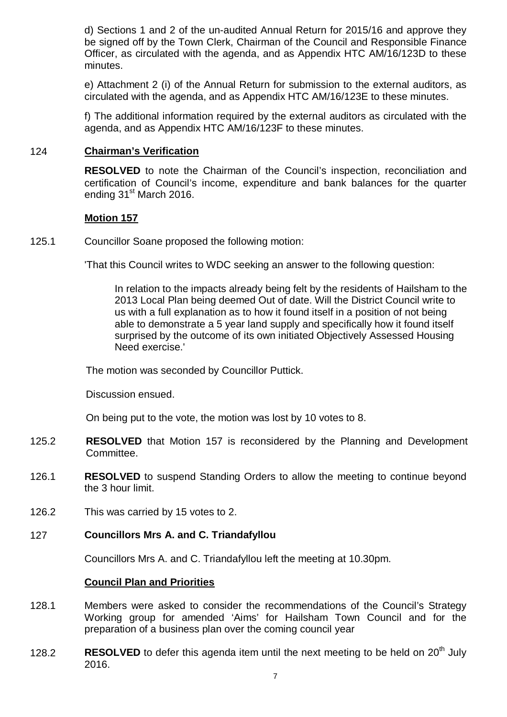d) Sections 1 and 2 of the un-audited Annual Return for 2015/16 and approve they be signed off by the Town Clerk, Chairman of the Council and Responsible Finance Officer, as circulated with the agenda, and as Appendix HTC AM/16/123D to these minutes.

e) Attachment 2 (i) of the Annual Return for submission to the external auditors, as circulated with the agenda, and as Appendix HTC AM/16/123E to these minutes.

f) The additional information required by the external auditors as circulated with the agenda, and as Appendix HTC AM/16/123F to these minutes.

# 124 **Chairman's Verification**

**RESOLVED** to note the Chairman of the Council's inspection, reconciliation and certification of Council's income, expenditure and bank balances for the quarter ending 31<sup>st</sup> March 2016.

# **Motion 157**

125.1 Councillor Soane proposed the following motion:

'That this Council writes to WDC seeking an answer to the following question:

In relation to the impacts already being felt by the residents of Hailsham to the 2013 Local Plan being deemed Out of date. Will the District Council write to us with a full explanation as to how it found itself in a position of not being able to demonstrate a 5 year land supply and specifically how it found itself surprised by the outcome of its own initiated Objectively Assessed Housing Need exercise.'

The motion was seconded by Councillor Puttick.

Discussion ensued.

On being put to the vote, the motion was lost by 10 votes to 8.

- 125.2 **RESOLVED** that Motion 157 is reconsidered by the Planning and Development Committee.
- 126.1 **RESOLVED** to suspend Standing Orders to allow the meeting to continue beyond the 3 hour limit.
- 126.2 This was carried by 15 votes to 2.

# 127 **Councillors Mrs A. and C. Triandafyllou**

Councillors Mrs A. and C. Triandafyllou left the meeting at 10.30pm.

# **Council Plan and Priorities**

- 128.1 Members were asked to consider the recommendations of the Council's Strategy Working group for amended 'Aims' for Hailsham Town Council and for the preparation of a business plan over the coming council year
- 128.2 **RESOLVED** to defer this agenda item until the next meeting to be held on 20<sup>th</sup> July 2016.